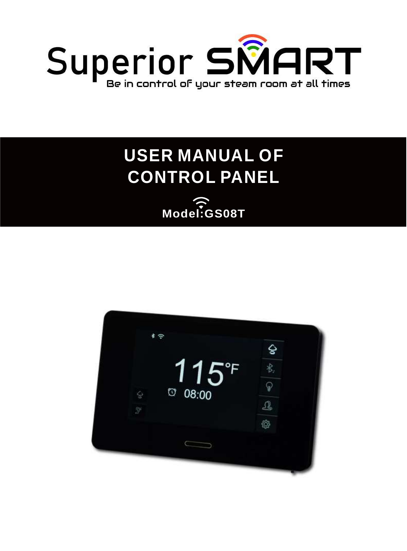

# **USER MANUAL OF CONTROL PANEL**

**Model:GS08T**

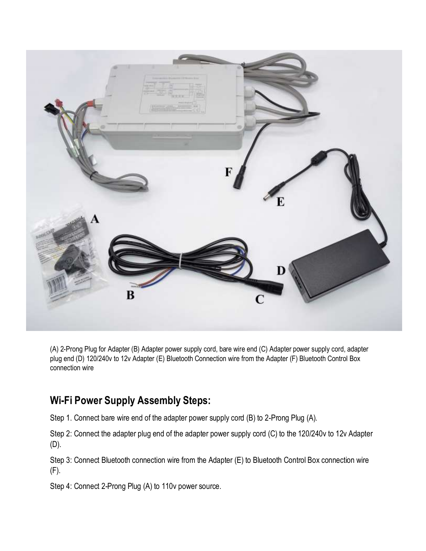

(A) 2-Prong Plug for Adapter (B) Adapter power supply cord, bare wire end (C) Adapter power supply cord, adapter plug end (D) 120/240v to 12v Adapter (E) Bluetooth Connection wire from the Adapter (F) Bluetooth Control Box connection wire

#### **Wi-Fi Power Supply Assembly Steps:**

Step 1. Connect bare wire end of the adapter power supply cord (B) to 2-Prong Plug (A).

Step 2: Connect the adapter plug end of the adapter power supply cord (C) to the 120/240v to 12v Adapter (D).

Step 3: Connect Bluetooth connection wire from the Adapter (E) to Bluetooth Control Box connection wire (F).

Step 4: Connect 2-Prong Plug (A) to 110v power source.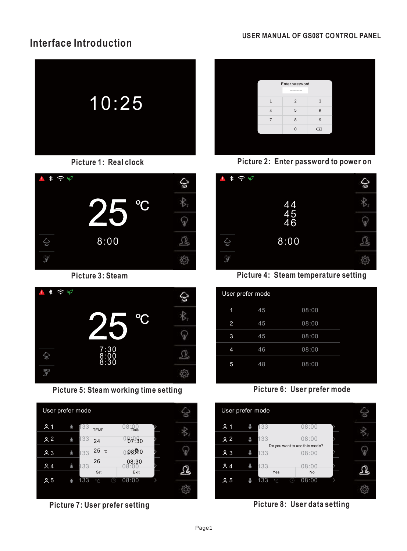### **Interface Introduction**



**Picture 1: Real clock**





**Picture** 5: Steam working time setting **Picture Picture** 6: User prefer mode











**Picture 3: Steam Picture 4: Steam temperature setting**

|                | User prefer mode |       |  |
|----------------|------------------|-------|--|
| 1              | 45               | 08:00 |  |
| 2              | 45               | 08:00 |  |
| 3              | 45               | 08:00 |  |
| $\overline{4}$ | 46               | 08:00 |  |
| 5              | 48               | 08:00 |  |
|                |                  |       |  |

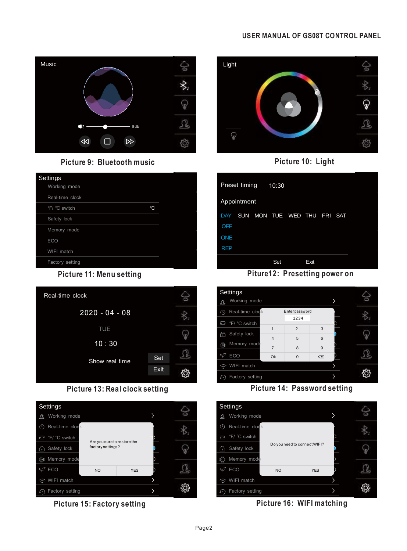

**Picture 9: Bluetooth music Picture 10: Light**

| Settings<br>Working mode |              |  |
|--------------------------|--------------|--|
| Real-time clock          |              |  |
| °F/ °C switch            | $^{\circ}$ C |  |
| Safety lock              |              |  |
| Memory mode              |              |  |
| <b>ECO</b>               |              |  |
| WIFI match               |              |  |
| Factory setting          |              |  |





**Picture 15: Factory setting Picture 16: WIFI matching**





|             | Preset timing |     | 10:30         |                     |      |            |  |
|-------------|---------------|-----|---------------|---------------------|------|------------|--|
| Appointment |               |     |               |                     |      |            |  |
| <b>DAY</b>  | <b>SUN</b>    |     |               | MON TUE WED THU FRI |      | <b>SAT</b> |  |
| <b>OFF</b>  |               |     |               |                     |      |            |  |
| <b>ONE</b>  |               |     |               |                     |      |            |  |
| <b>REP</b>  |               |     |               |                     |      |            |  |
|             |               |     | Set           |                     | Exit |            |  |
|             |               | --- | $\sim$ $\sim$ |                     | .    |            |  |

**Picture 11: Menu setting Piture12: Presetting power on**



**Picture 13: Real clock setting Picture 14: Password setting**

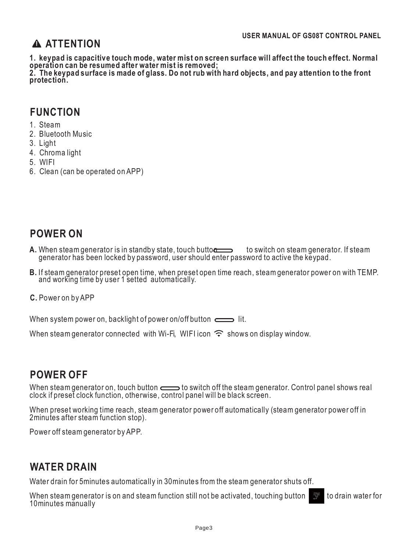### **ATTENTION**

**1. keypad is capacitive touch mode, water mist on screen surface will affect the touch effect. Normal operation can be resumed after water mist is removed;**

**2. The keypad surface is made of glass. Do not rub with hard objects, and pay attention to the front protection.**

#### **FUNCTION**

- 1. Steam
- 2. Bluetooth Music
- 3. Light
- 4. Chroma light
- 5. WIFI
- 6. Clean (can be operated on APP)

### **POWER ON**

- **A.** When steam generator is in standby state, touch butto $\frac{1}{\sqrt{1-\frac{1}{n}}}$  to switch on steam generator. If steam generator has been locked by password, user should enter password to active the keypad.
- **B.** If steam generator preset open time, when preset open time reach, steam generator power on with TEMP. and working time by user 1 setted automatically.
- **C.** Power on by APP

When system power on, backlight of power on/off button  $\equiv$  lit.

When steam generator connected with Wi-Fi, WIFI icon  $\widehat{\mathcal{F}}$  shows on display window.

### **POWER OFF**

When steam generator on, touch button  $\equiv$  to switch off the steam generator. Control panel shows real clock if preset clock function, otherwise, control panel will be black screen.

When preset working time reach, steam generator power off automatically (steam generator power off in 2minutes after steam function stop).

Power off steam generator by APP.

### **WATER DRAIN**

Water drain for 5minutes automatically in 30minutes from the steam generator shuts off.

When steam generator is on and steam function still not be activated, touching button  $\mathbb{T}$  to drain water for 10minutes manually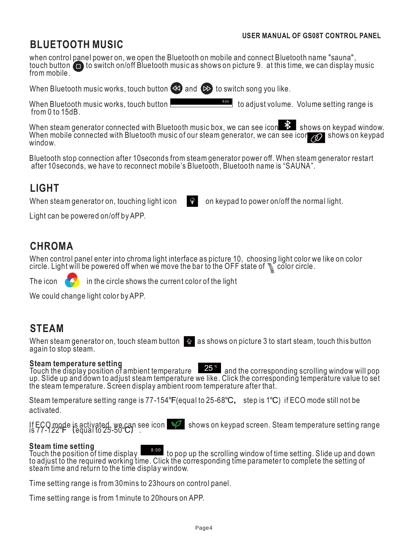### **BLUETOOTH MUSIC**

when control panel power on, we open the Bluetooth on mobile and connect Bluetooth name "sauna", touch button  $\Box$  to switch on/off Bluetooth music as shows on picture 9. at this time, we can display music from mobile.

When Bluetooth music works, touch button  $\leq 1$  and  $\geq 1$  to switch song you like.

When Bluetooth music works, touch button from 0 to 15dB. **84b** to adjust volume. Volume setting range is

When steam generator connected with Bluetooth music box, we can see icon  $\mathbb{E}$  shows on keypad window. When mobile connected with Bluetooth music of our steam generator, we can see icon  $\oslash$  shows on keypad window.

Bluetooth stop connection after 10seconds from steam generator power off. When steam generator restart after 10seconds, we have to reconnect mobile's Bluetooth, Bluetooth name is "SAUNA".

### **LIGHT**

When steam generator on, touching light icon  $\mathbb{R}$  on keypad to power on/off the normal light.

Light can be powered on/off by APP.

### **CHROMA**

When control panel enter into chroma light interface as picture 10, choosing light color we like on color circle. Light will be powered off when we move the bar to the OFF state of  $\mathbb S$  color circle.

The icon  $\left\langle \right\rangle$  in the circle shows the current color of the light

We could change light color by APP.

### **STEAM**

When steam generator on, touch steam button  $\mathbb{R}$  as shows on picture 3 to start steam, touch this button again to stop steam.

#### **Steam temperature setting**

Touch the display position of ambient temperature  $\Box$  and the corresponding scrolling window will pop up. Slide up and down to adjust steam temperature we like. Click the corresponding temperature value to set the steam temperature. Screen display ambient room temperature after that.

Steam temperature setting range is 77-154℉(equal to 25-68℃, step is 1℃) if ECO mode still not be activated.

If ECO mode is activated, we can see icon speaking shows on keypad screen. Steam temperature setting range is 77-122 ₣ (equal to 25-50℃).

#### **Steam time setting**

Touch the position of time display 8:00 to pop up the scrolling window of time setting. Slide up and down to adjust to the required working time. Click the corresponding time parameter to complete the setting of steam time and return to the time display window.

Time setting range is from30mins to 23hours on control panel.

Time setting range is from 1minute to 20hours on APP.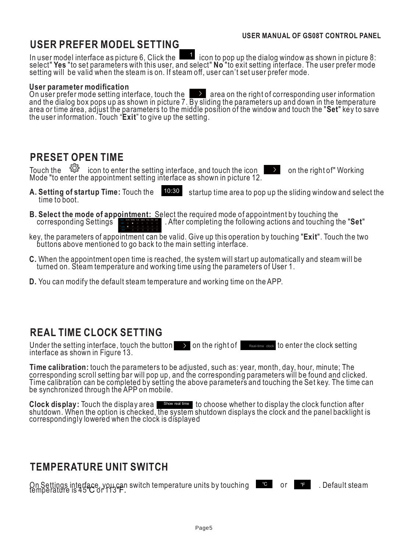## **USER PREFER MODEL SETTING**

In user model interface as picture 6, Click the  $\Box$  icon to pop up the dialog window as shown in picture 8: select" **Yes** "to set parameters with this user, and select" **No** "to exit setting interface. The user prefer mode setting will be valid when the steam is on. If steam off, user can't set user prefer mode.

#### **User parameter modification**

On user prefer mode setting interface, touch the  $\Box$  area on the right of corresponding user information and the dialog box pops up as shown in picture 7. By sliding the parameters up and down in the temperature area or time area, adjust the parameters to the middle position of the window and touch the "**Set**" key to save the user information. Touch "**Exit**" to give up the setting.

### **PRESET OPEN TIME**

Touch the  $\sqrt[6]{3}$  icon to enter the setting interface, and touch the icon  $\blacktriangleright$  on the right of" Working Mode "to enter the appointment setting interface as shown in picture 12.

- 
- **A. Setting of startup Time:** Touch the time to boot. 10:30 startup time area to pop up the sliding window and select the
- **B. Select the mode of appointment:** Select the required mode of appointment by touching the corresponding Settings DAY SUN MON TUE WED THU FRI SAT . After completing the following actions and touching the "**Set**"
- key, the parameters of appointment can be valid. Give up this operation by touching "**Exit**". Touch the two buttons above mentioned to go back to the main setting interface.
- **C.** When the appointment open time is reached, the system will start up automatically and steam will be turned on. Steam temperature and working time using the parameters of User 1.
- **D.** You can modify the default steam temperature and working time on the APP.

### **REAL TIME CLOCK SETTING**

Under the setting interface, touch the button  $\rightarrow$  on the right of interface as shown in Figure 13. Real-time clock to enter the clock setting

**Time calibration:** touch the parameters to be adjusted, such as: year, month, day, hour, minute; The corresponding scroll setting bar will pop up, and the corresponding parameters will be found and clicked. Time calibration can be completed by setting the above parameters and touching the Set key. The time can be synchronized through the APP on mobile.

Clock display: Touch the display area show real time to choose whether to display the clock function after shutdown. When the option is checked, the system shutdown displays the clock and the panel backlight is correspondingly lowered when the clock is displayed

### **TEMPERATURE UNIT SWITCH**

On Settings interface, you can switch temperature units by touching lemperature is 45℃ or 113℃. ℃ or ℉ . Default steam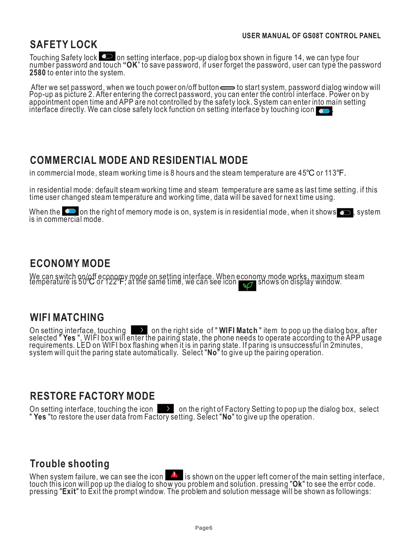### **SAFETY LOCK**

Touching Safety lock  $\Box$  on setting interface, pop-up dialog box shown in figure 14, we can type four number password and touch **"OK**" to save password, if user forget the password, user can type the password **2580** to enter into the system.

After we set password, when we touch power on/off button to start system, password dialog window will Pop-up as picture 2. After entering the correct password, you can enter the control interface. Power on by appointment open time and APP are not controlled by the safety lock. System can enter into main setting interface directly. We can close safety lock function on setting interface by touching icon

### **COMMERCIAL MODE AND RESIDENTIAL MODE**

in commercial mode, steam working time is 8 hours and the steam temperature are 45℃ or 113℉.

in residential mode: default steam working time and steam temperature are same as last time setting. if this time user changed steam temperature and working time, data will be saved for next time using.

When the  $\bullet$  on the right of memory mode is on, system is in residential mode, when it shows  $\bullet$ , system is in commercial mode.

### **ECONOMY MODE**

We can switch on/off economy mode on setting interface. When economy mode works, maximum steam temperature is 50℃ or 122℉, at the same time, we can see icon shows on display window.

### **WIFI MATCHING**

On setting interface, touching **the Studing team** on the right side of " WIFI Match " item to pop up the dialog box, after selected " **Yes** ", WIFI box will enter the pairing state, the phone needs to operate according to the APP usage requirements. LED on WIFI box flashing when it is in paring state. If paring is unsuccessful in 2minutes, system will quit the paring state automatically. Select "**No**" to give up the pairing operation.

#### **RESTORE FACTORY MODE**

On setting interface, touching the icon  $\longrightarrow$  on the right of Factory Setting to pop up the dialog box, select " **Yes** "to restore the user data from Factory setting. Select "**No**" to give up the operation.

### **Trouble shooting**

When system failure, we can see the icon  $\blacksquare$  is shown on the upper left corner of the main setting interface, touch this icon will pop up the dialog to show you problem and solution. pressing "**Ok**" to see the error code. pressing "**Exit**" to Exit the prompt window. The problem and solution message will be shown as followings: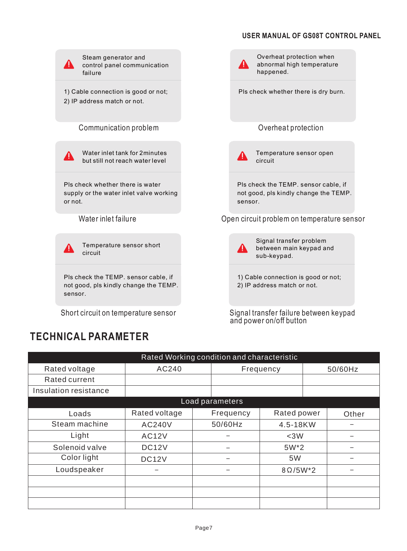

## **TECHNICAL PARAMETER**

| Rated Working condition and characteristic |               |  |           |                 |         |       |  |
|--------------------------------------------|---------------|--|-----------|-----------------|---------|-------|--|
| Rated voltage                              | AC240         |  | Frequency |                 | 50/60Hz |       |  |
| Rated current                              |               |  |           |                 |         |       |  |
| Insulation resistance                      |               |  |           |                 |         |       |  |
| Load parameters                            |               |  |           |                 |         |       |  |
| Loads                                      | Rated voltage |  | Frequency | Rated power     |         | Other |  |
| Steam machine                              | <b>AC240V</b> |  | 50/60Hz   | 4.5-18KW        |         |       |  |
| Light                                      | <b>AC12V</b>  |  |           | $<$ 3 $W$       |         |       |  |
| Solenoid valve                             | DC12V         |  |           | $5W^*2$         |         |       |  |
| Color light                                | DC12V         |  | -         | 5W              |         |       |  |
| Loudspeaker                                | -             |  | -         | $8\Omega/5W^*2$ |         |       |  |
|                                            |               |  |           |                 |         |       |  |
|                                            |               |  |           |                 |         |       |  |
|                                            |               |  |           |                 |         |       |  |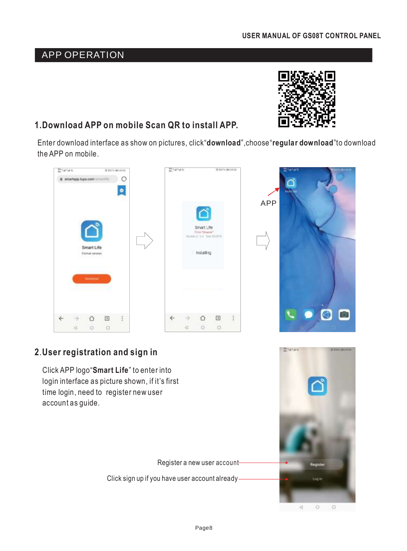### **1.Download APP on mobile Scan QR to install APP.**

by during successing

 $\bullet$ 

a smartage.tuys.com/ununtils (

Smart Life

Enter download interface as show on pictures, click"**download**",choose"**regular download**"to download the APP on mobile.

> Smart Life 4-1-4 tax strain

Installing

♦

 $\circ$ 

 $\boxed{3}$ 

 $\Box$ 

ł

to kith sidens

**Britains** 

#### **2**.**User registration and sign in**

Ó

 $\circ$ 

d

 $\boxed{1}$ 

 $\Box$ 

ŧ

Click APP logo"**Smart Life**" to enter into login interface as picture shown, if it's first time login, need to register new user account as guide.

Register a new user account

Click sign up if you have user account already

 $\leftarrow$ 

d









**Britains**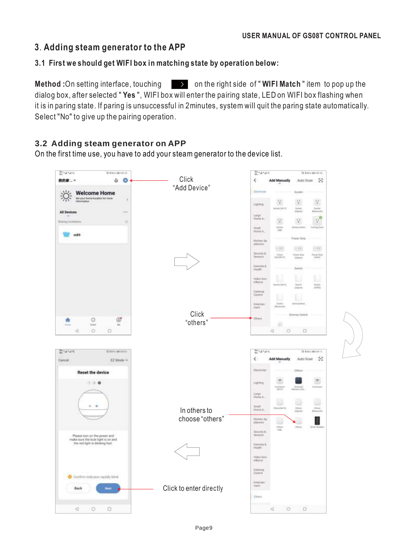#### **3**. **Adding steam generator to the APP**

#### **3.1 First we should get WIFI box in matching state by operation below:**

**Method :**On setting interface, touching  $\longrightarrow$  on the right side of "WIFI Match" item to pop up the dialog box, after selected " **Yes** ", WIFI box will enter the pairing state, LED on WIFI box flashing when it is in paring state. If paring is unsuccessful in 2minutes, system will quit the paring state automatically. Select "No" to give up the pairing operation.

#### **3.2 Adding steam generator on APP**

On the first time use, you have to add your steam generator to the device list.

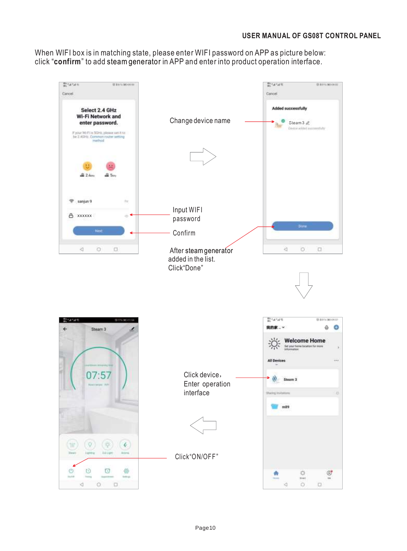When WIFI box is in matching state, please enter WIFI password on APP as picture below: click "**confirm**" to add steam generator in APP and enter into product operation interface.

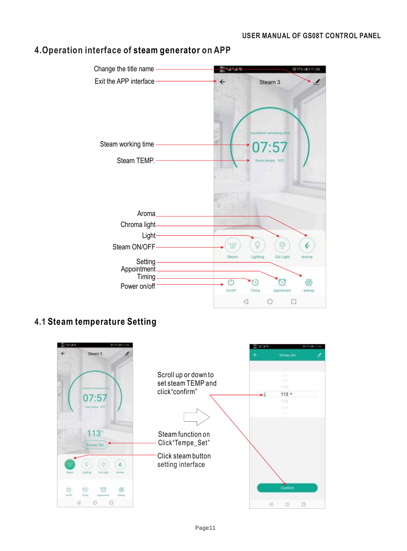

#### **4.Operation interface of steam generator on APP**

#### **4.1 Steam temperature Setting**

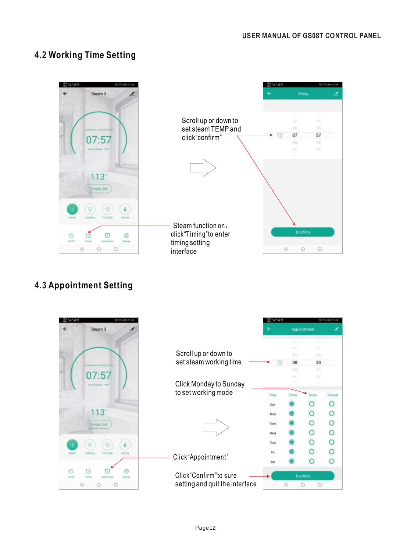#### **4.2 Working Time Setting**



### **4.3 Appointment Setting**

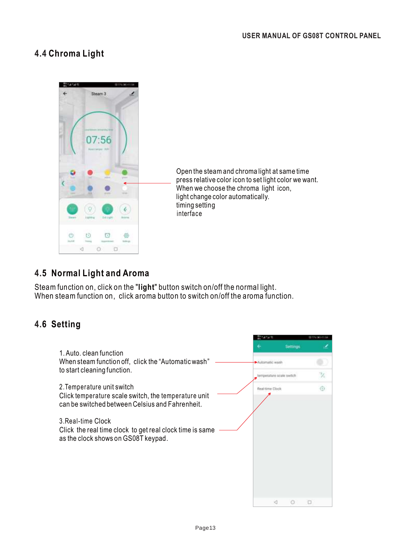#### **4.4 Chroma Light**



Open the steamand chroma light at same time press relative color icon to set light color we want. When we choose the chroma light icon, light change color automatically. timing setting interface

#### **4.5 Normal Light and Aroma**

Steam function on, click on the "**light**" button switch on/off the normal light. When steam function on, click aroma button to switch on/off the aroma function.

#### **4.6 Setting**